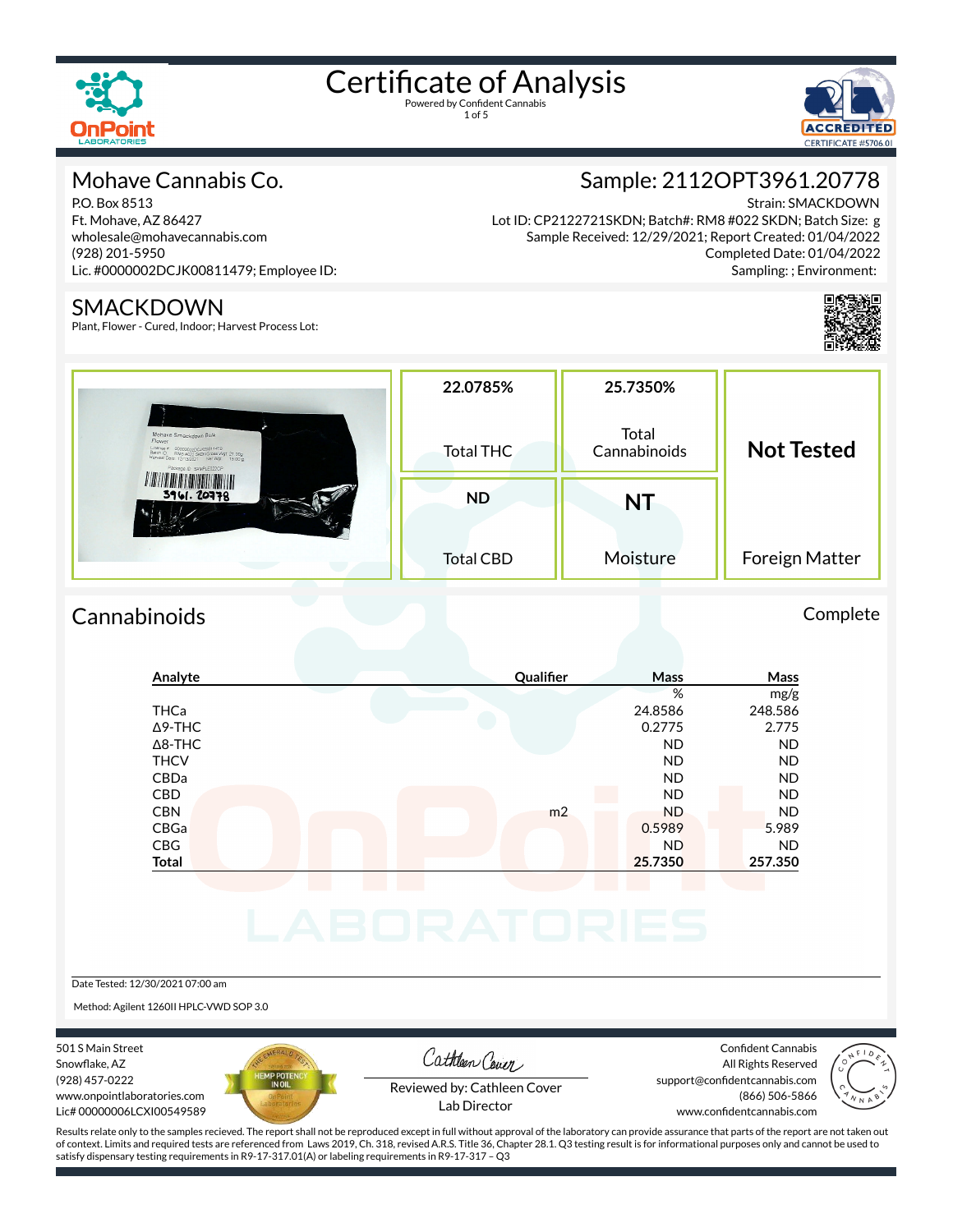



#### Mohave Cannabis Co.

P.O. Box 8513 Ft. Mohave, AZ 86427 wholesale@mohavecannabis.com (928) 201-5950 Lic. #0000002DCJK00811479; Employee ID:

#### SMACKDOWN

Plant, Flower - Cured, Indoor; Harvest Process Lot:

## Sample: 2112OPT3961.20778

Strain: SMACKDOWN

Lot ID: CP2122721SKDN; Batch#: RM8 #022 SKDN; Batch Size: g Sample Received: 12/29/2021; Report Created: 01/04/2022 Completed Date: 01/04/2022 Sampling: ; Environment:



| Mohave Smackdown Bulk<br>Flower<br>License # 00000002200100811479<br>Batch ID: RMs a022 SeCN Gross Wgt 21.00g<br>Harvest Date: 12/13/2021 Net Wgt 16.00 g<br>Package ID, SAMPLE022CP | 22.0785%<br>Total THC | 25.7350%<br>Total<br>Cannabinoids | <b>Not Tested</b> |  |
|--------------------------------------------------------------------------------------------------------------------------------------------------------------------------------------|-----------------------|-----------------------------------|-------------------|--|
| 3961.20778                                                                                                                                                                           | <b>ND</b>             | NT                                |                   |  |
|                                                                                                                                                                                      | <b>Total CBD</b>      | Moisture                          | Foreign Matter    |  |

### Cannabinoids Complete

| <b>THCa</b>    |                | %         |           |
|----------------|----------------|-----------|-----------|
|                |                |           | mg/g      |
|                |                | 24.8586   | 248.586   |
| $\Delta$ 9-THC |                | 0.2775    | 2.775     |
| $\Delta$ 8-THC |                | <b>ND</b> | <b>ND</b> |
| <b>THCV</b>    |                | <b>ND</b> | <b>ND</b> |
| CBDa           |                | <b>ND</b> | <b>ND</b> |
| <b>CBD</b>     |                | <b>ND</b> | <b>ND</b> |
| <b>CBN</b>     | m <sub>2</sub> | <b>ND</b> | <b>ND</b> |
| CBGa           |                | 0.5989    | 5.989     |
| <b>CBG</b>     |                | <b>ND</b> | <b>ND</b> |
| <b>Total</b>   |                | 25.7350   | 257.350   |

#### Date Tested: 12/30/2021 07:00 am

Method: Agilent 1260II HPLC-VWD SOP 3.0

501 S Main Street Snowflake, AZ (928) 457-0222 www.onpointlaboratories.com Lic# 00000006LCXI00549589



Cathleen Cover

Confident Cannabis All Rights Reserved support@confidentcannabis.com (866) 506-5866



Reviewed by: Cathleen Cover Lab Director

www.confidentcannabis.com

Results relate only to the samples recieved. The report shall not be reproduced except in full without approval of the laboratory can provide assurance that parts of the report are not taken out of context. Limits and required tests are referenced from Laws 2019, Ch. 318, revised A.R.S. Title 36, Chapter 28.1. Q3 testing result is for informational purposes only and cannot be used to satisfy dispensary testing requirements in R9-17-317.01(A) or labeling requirements in R9-17-317 – Q3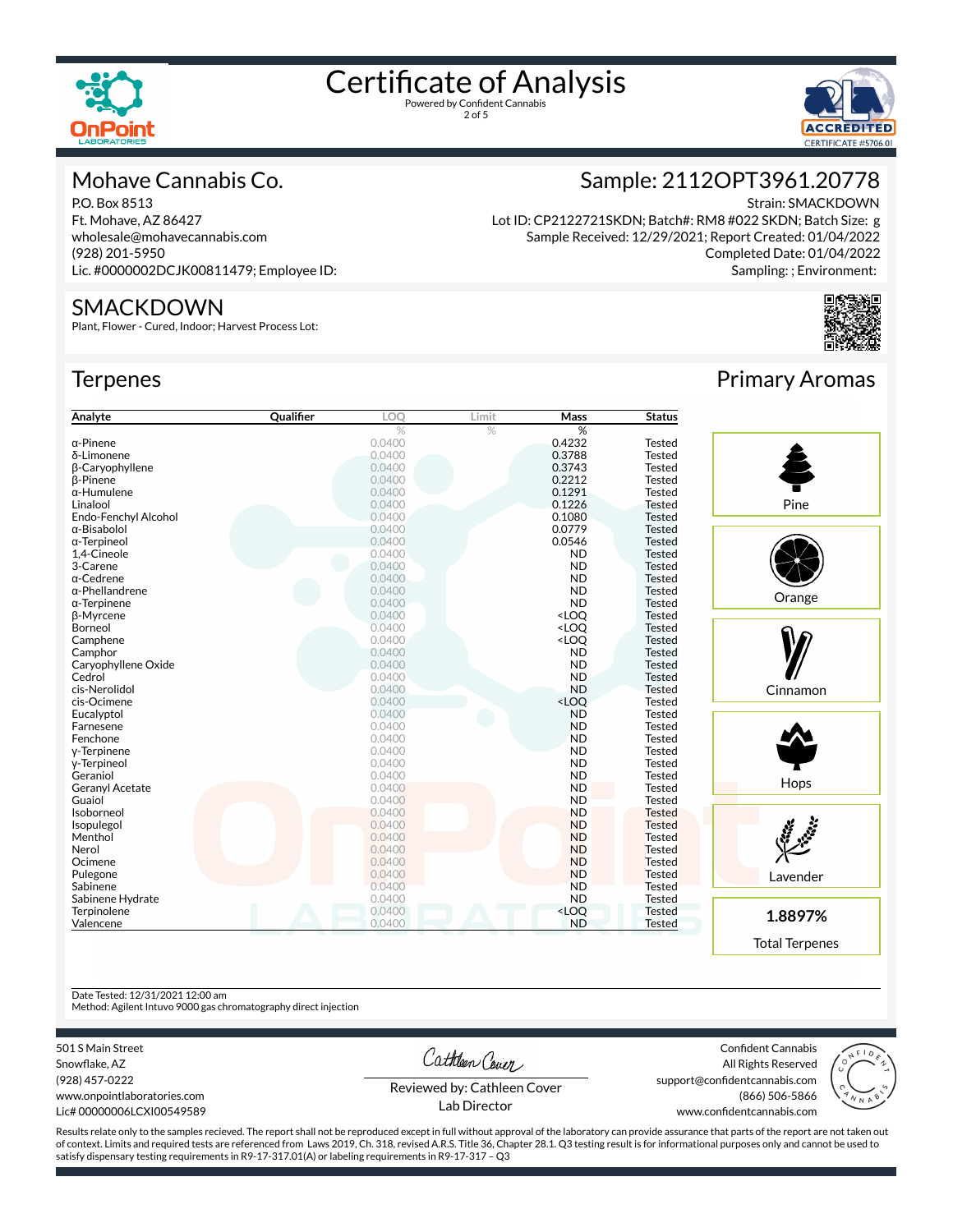

2 of 5



#### Mohave Cannabis Co.

P.O. Box 8513 Ft. Mohave, AZ 86427 wholesale@mohavecannabis.com (928) 201-5950 Lic. #0000002DCJK00811479; Employee ID:

#### SMACKDOWN

Plant, Flower - Cured, Indoor; Harvest Process Lot:

#### **Terpenes**



Lot ID: CP2122721SKDN; Batch#: RM8 #022 SKDN; Batch Size: g Sample Received: 12/29/2021; Report Created: 01/04/2022 Completed Date: 01/04/2022 Sampling: ; Environment:



#### **Analyte Canalist Cualifier LOQ** Limit **Mass Status**  $\%$  %  $\%$ α-Pinene 0.0400 0.4232 Tested δ-Limonene 0.0400 0.3788 Tested  $β$ -Caryophyllene  $0.0400$ <br> $β$ -Pinene  $0.2212$  Tested  $0.0400$ β-Pinene 0.0400 0.2212 Tested α-Humulene **6.1291** Tested Linalool 0.0400 0.1226 Tested Endo-Fenchyl Alcohol 0.0400 0.1080 Tested α-Bisabolol 0.0400 0.0779 Tested α-Terpineol 0.0400 0.0546 Tested 1,4-Cineole 0.0400 ND Tested 3-Carene 0.0400 ND Tested α-Cedrene 0.0400 ND Tested α-Phellandrene 1992 - 1993 - 1994 - 1996 - 1996 - 1996 - 1997 - 1998 - 1998 - 1998 - 1998 - 1998 - 1998 - 1999<br>Δεν τερμήθηκε της Παραστής της Παραστής της Παραστής της Παραστής της Παραστής της Παραστής της Παραστής της Π α-Terpinene 0.0400 ND Tested β-Myrcene 0.0400 <LOQ Tested Borneol 0.0400 <LOQ Tested Camphene **Camphene Camphene Camphene Camphene Camphene Camphene Camphene Camphene Campione Campione Campione Campione Campione Campione Campione Campione Campione Campionee** Campionee **Cam** Camphor **Camphor Camphor Camphor Camphor Camphor Camphor Camphor Camphor Camphor Camphor Campioner Campioner Campioner Campioner Campioner Campioner Campioner Campioner Campioner Campi** Caryophyllene Oxide 0.0400 ND Tested Cedrol 0.0400 ND Tested cis-Nerolidol 0.0400 ND Tested cis-Ocimene 0.0400 <LOQ Tested Eucalyptol 0.0400 ND Tested Farnesene **DESET Extra COMPOSTER EXECUTE A** COMPOSTER CONTROLLER TO A SECOND Tested Fenchone 0.0400 ND Tested γ-Terpinene 0.0400 ND Tested γ-Terpineol 0.0400 ND Tested Geraniol 0.0400 ND Tested Geranyl Acetate 0.0400 ND Tested Guaiol 0.0400 ND Tested Isoborneol 0.0400 ND Tested Isopulegol 0.0400 ND Tested Menthol **ND Tested** 0.0400 ND Tested Nerol ND Tested Ocimene **Definition of the COMPUTER COMPUTER COMPUTER COMPUTER** O.0400 ND Tested Pulegone **Department of the COMPUTE CONDUCT CONDUCT** CONDUCT CONDUCT CONDUCT CONDUCT CONDUCT CONDUCT CONDUCT CONDUCT CONDUCT CONDUCT CONDUCT CONDUCT CONDUCT CONDUCT CONDUCT CONDUCT CONDUCT CONDUCT CONDUCT CONDUCT CONDUCT C Sabinene **ND** Tested Sabinene Hydrate 0.0400 ND Tested Terpinolene Tested and the CO2 Tested of the CO2 Tested and the CO2 Tested of the CO2 Tested and the CO2 Tested Valencene 0.0400 ND Tested Pine **Orange** Cinnamon **Hops**

Primary Aromas

Lavender **1.8897%** Total Terpenes Confident Cannabis All Rights Reserved

Cathleen Cover

(928) 457-0222 www.onpointlaboratories.com Lic# 00000006LCXI00549589

501 S Main Street Snowflake, AZ

Date Tested: 12/31/2021 12:00 am

Method: Agilent Intuvo 9000 gas chromatography direct injection

Reviewed by: Cathleen Cover Lab Director

support@confidentcannabis.com (866) 506-5866 www.confidentcannabis.com



Results relate only to the samples recieved. The report shall not be reproduced except in full without approval of the laboratory can provide assurance that parts of the report are not taken out of context. Limits and required tests are referenced from Laws 2019, Ch. 318, revised A.R.S. Title 36, Chapter 28.1. Q3 testing result is for informational purposes only and cannot be used to satisfy dispensary testing requirements in R9-17-317.01(A) or labeling requirements in R9-17-317 – Q3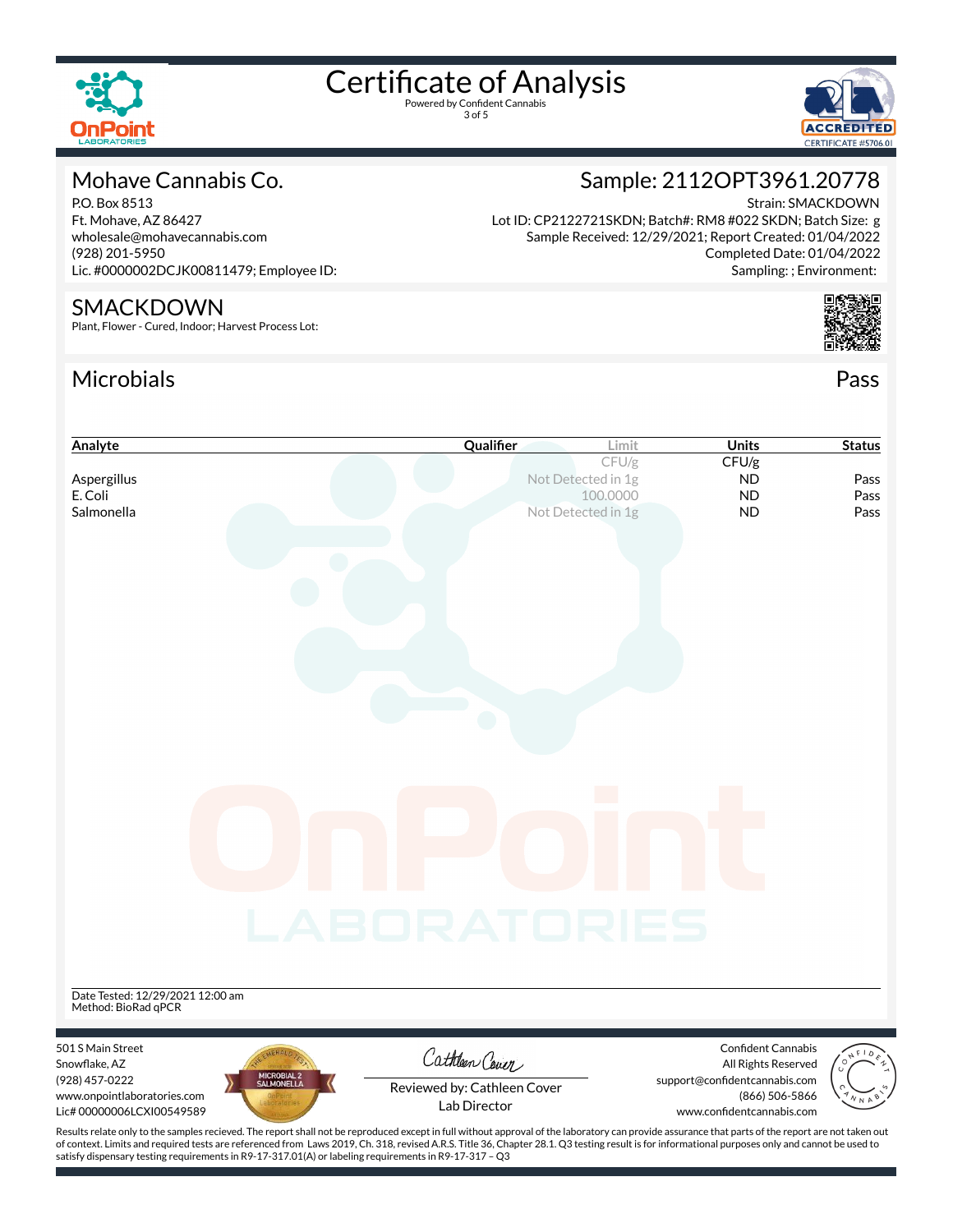

3 of 5



#### Mohave Cannabis Co.

P.O. Box 8513 Ft. Mohave, AZ 86427 wholesale@mohavecannabis.com (928) 201-5950 Lic. #0000002DCJK00811479; Employee ID:

#### SMACKDOWN

Plant, Flower - Cured, Indoor; Harvest Process Lot:

### Microbials Pass



Strain: SMACKDOWN

Sampling: ; Environment:

Sample: 2112OPT3961.20778

Lot ID: CP2122721SKDN; Batch#: RM8 #022 SKDN; Batch Size: g





of context. Limits and required tests are referenced from Laws 2019, Ch. 318, revised A.R.S. Title 36, Chapter 28.1. Q3 testing result is for informational purposes only and cannot be used to satisfy dispensary testing requirements in R9-17-317.01(A) or labeling requirements in R9-17-317 – Q3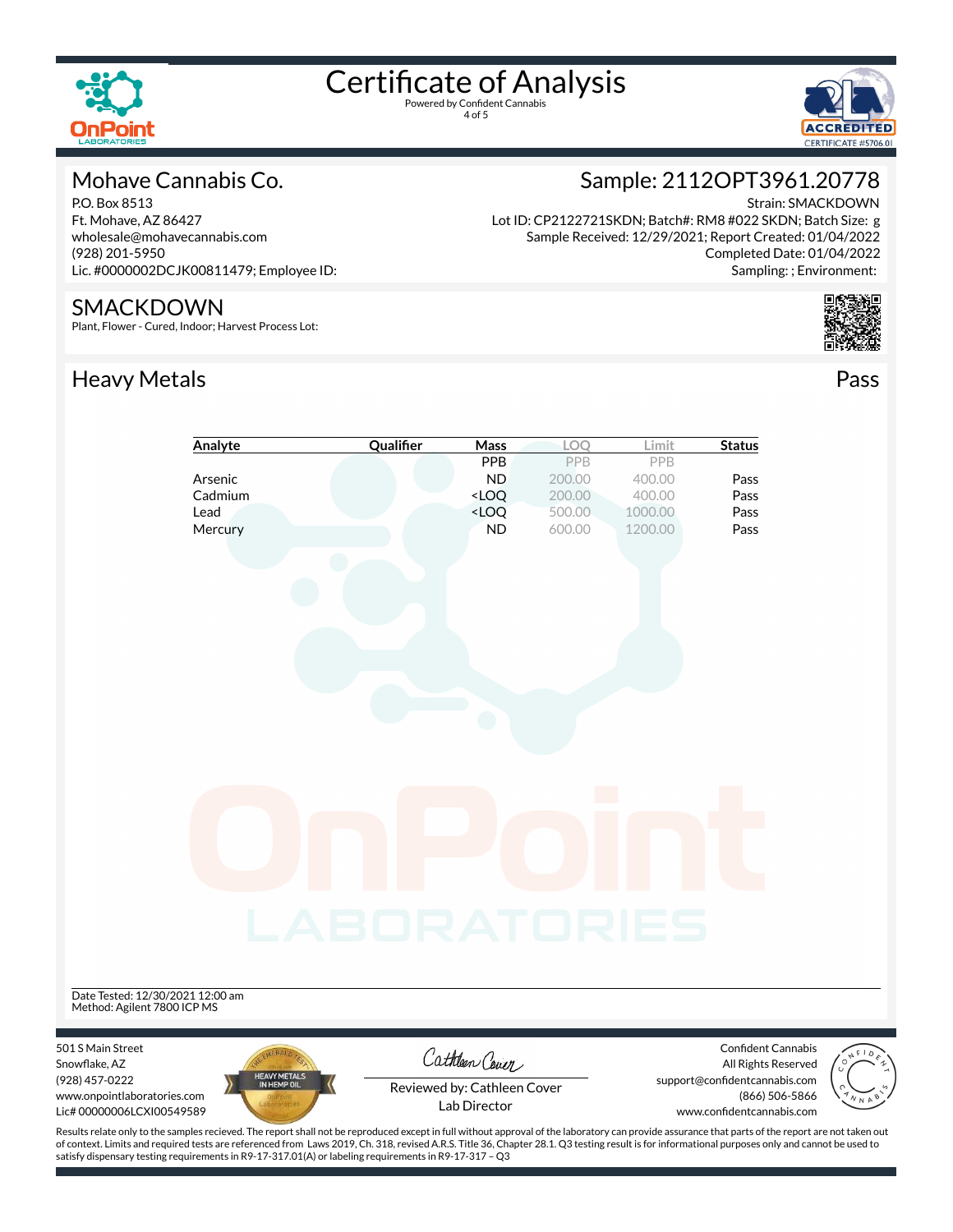





#### Mohave Cannabis Co.

P.O. Box 8513 Ft. Mohave, AZ 86427 wholesale@mohavecannabis.com (928) 201-5950 Lic. #0000002DCJK00811479; Employee ID:

#### SMACKDOWN

Plant, Flower - Cured, Indoor; Harvest Process Lot:

## Heavy Metals **Pass**



Strain: SMACKDOWN Lot ID: CP2122721SKDN; Batch#: RM8 #022 SKDN; Batch Size: g Sample Received: 12/29/2021; Report Created: 01/04/2022 Completed Date: 01/04/2022 Sampling: ; Environment:



|                                  | Analyte                     | Qualifier    | Mass                                                            | LOQ    | Limit   | <b>Status</b>                 |
|----------------------------------|-----------------------------|--------------|-----------------------------------------------------------------|--------|---------|-------------------------------|
|                                  |                             |              | PPB                                                             | PPB    | PPB     |                               |
|                                  | Arsenic                     |              | <b>ND</b>                                                       | 200.00 | 400.00  | Pass                          |
|                                  | Cadmium                     |              | $<$ LOQ                                                         | 200.00 | 400.00  | Pass                          |
|                                  | Lead                        |              | <loq< td=""><td>500.00</td><td>1000.00</td><td>Pass</td></loq<> | 500.00 | 1000.00 | Pass                          |
|                                  | Mercury                     |              | <b>ND</b>                                                       | 600.00 | 1200.00 | Pass                          |
|                                  |                             |              |                                                                 |        |         |                               |
|                                  |                             |              |                                                                 |        |         |                               |
|                                  |                             |              |                                                                 |        |         |                               |
|                                  |                             |              |                                                                 |        |         |                               |
|                                  |                             |              |                                                                 |        |         |                               |
|                                  |                             |              |                                                                 |        |         |                               |
|                                  |                             |              |                                                                 |        |         |                               |
|                                  |                             |              |                                                                 |        |         |                               |
|                                  |                             |              |                                                                 |        |         |                               |
|                                  |                             |              |                                                                 |        |         |                               |
|                                  |                             |              |                                                                 |        |         |                               |
|                                  |                             |              |                                                                 |        |         |                               |
|                                  |                             |              |                                                                 |        |         |                               |
|                                  |                             |              |                                                                 |        |         |                               |
|                                  |                             |              |                                                                 |        |         |                               |
|                                  |                             |              |                                                                 |        |         |                               |
|                                  |                             |              |                                                                 |        |         |                               |
|                                  |                             |              |                                                                 |        |         |                               |
|                                  |                             |              |                                                                 |        |         |                               |
|                                  |                             |              |                                                                 |        |         |                               |
|                                  |                             |              |                                                                 |        |         |                               |
|                                  |                             |              |                                                                 |        |         |                               |
|                                  |                             |              |                                                                 |        |         |                               |
|                                  |                             | LABORATORIES |                                                                 |        |         |                               |
|                                  |                             |              |                                                                 |        |         |                               |
|                                  |                             |              |                                                                 |        |         |                               |
|                                  |                             |              |                                                                 |        |         |                               |
| Date Tested: 12/30/2021 12:00 am |                             |              |                                                                 |        |         |                               |
| Method: Agilent 7800 ICP MS      |                             |              |                                                                 |        |         |                               |
|                                  |                             |              |                                                                 |        |         |                               |
| 501 S Main Street                |                             |              |                                                                 |        |         | Confident Cannabis            |
| Snowflake, AZ                    |                             |              | Cathleen Cover                                                  |        |         | All Rights Reserved           |
| (928) 457-0222                   | HEAVY METALS<br>IN HEMP OIL |              |                                                                 |        |         | support@confidentcannabis.com |
| www.onpointlaboratories.com      |                             |              | Reviewed by: Cathleen Cover                                     |        |         | (866) 506-5866                |
| Lic# 00000006LCXI00549589        |                             |              | Lab Director                                                    |        |         | www.confidentcannabis.com     |

Results relate only to the samples recieved. The report shall not be reproduced except in full without approval of the laboratory can provide assurance that parts of the report are not taken out of context. Limits and required tests are referenced from Laws 2019, Ch. 318, revised A.R.S. Title 36, Chapter 28.1. Q3 testing result is for informational purposes only and cannot be used to satisfy dispensary testing requirements in R9-17-317.01(A) or labeling requirements in R9-17-317 – Q3